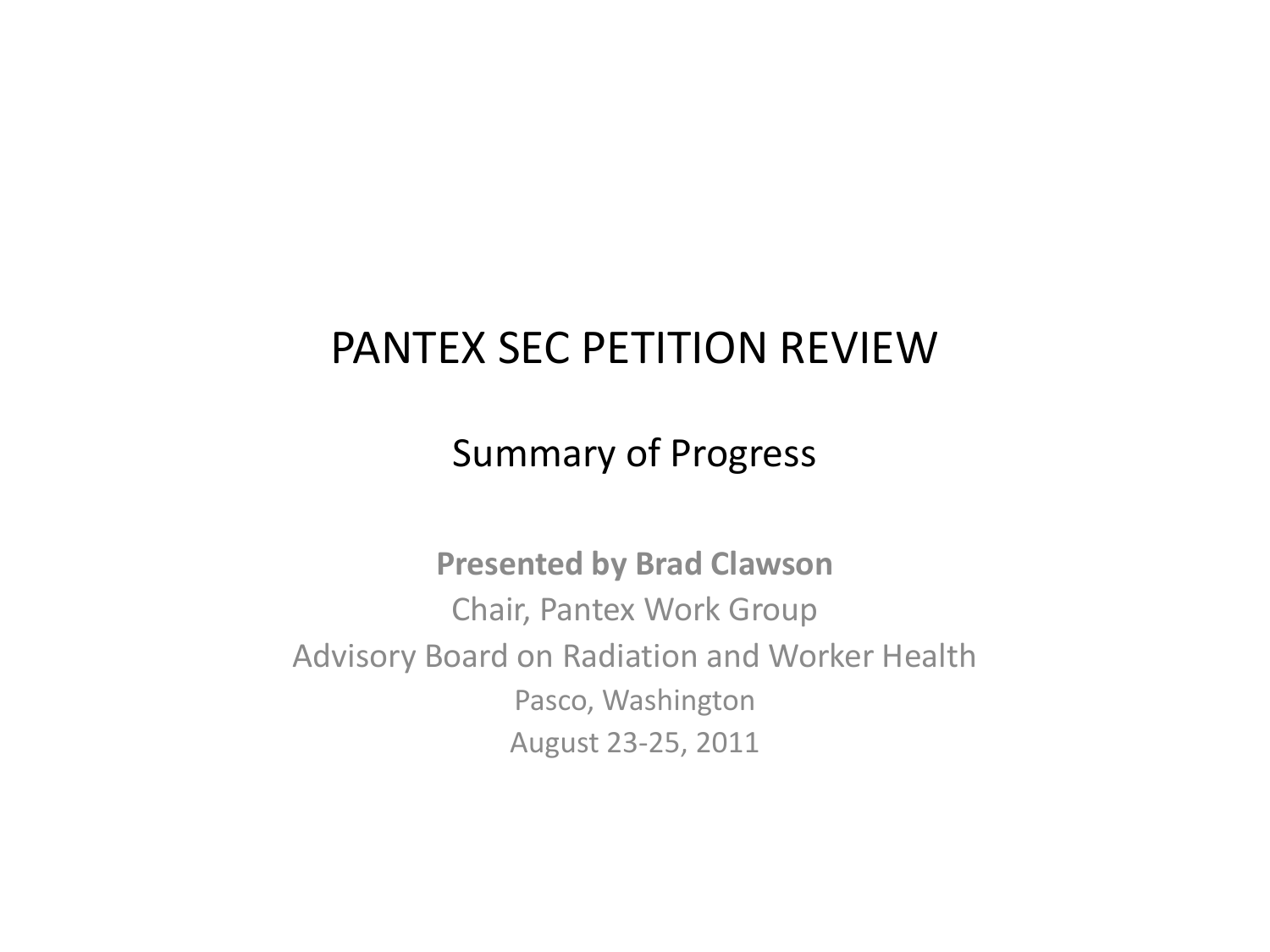# PANTEX SEC PETITION REVIEW

### Summary of Progress

**Presented by Brad Clawson** Chair, Pantex Work Group Advisory Board on Radiation and Worker Health Pasco, Washington August 23-25, 2011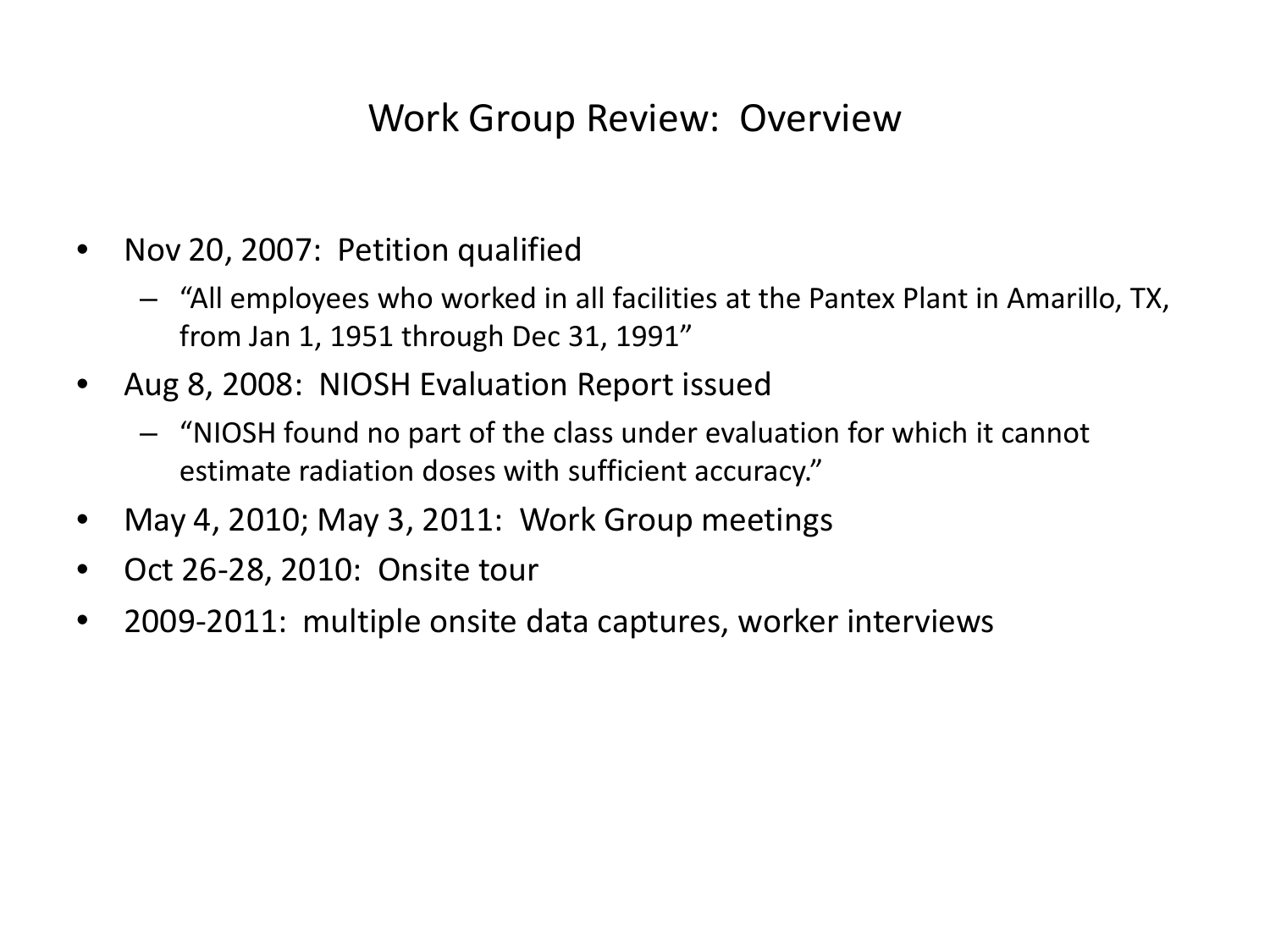#### Work Group Review: Overview

- Nov 20, 2007: Petition qualified
	- "All employees who worked in all facilities at the Pantex Plant in Amarillo, TX, from Jan 1, 1951 through Dec 31, 1991"
- Aug 8, 2008: NIOSH Evaluation Report issued
	- "NIOSH found no part of the class under evaluation for which it cannot estimate radiation doses with sufficient accuracy."
- May 4, 2010; May 3, 2011: Work Group meetings
- Oct 26-28, 2010: Onsite tour
- 2009-2011: multiple onsite data captures, worker interviews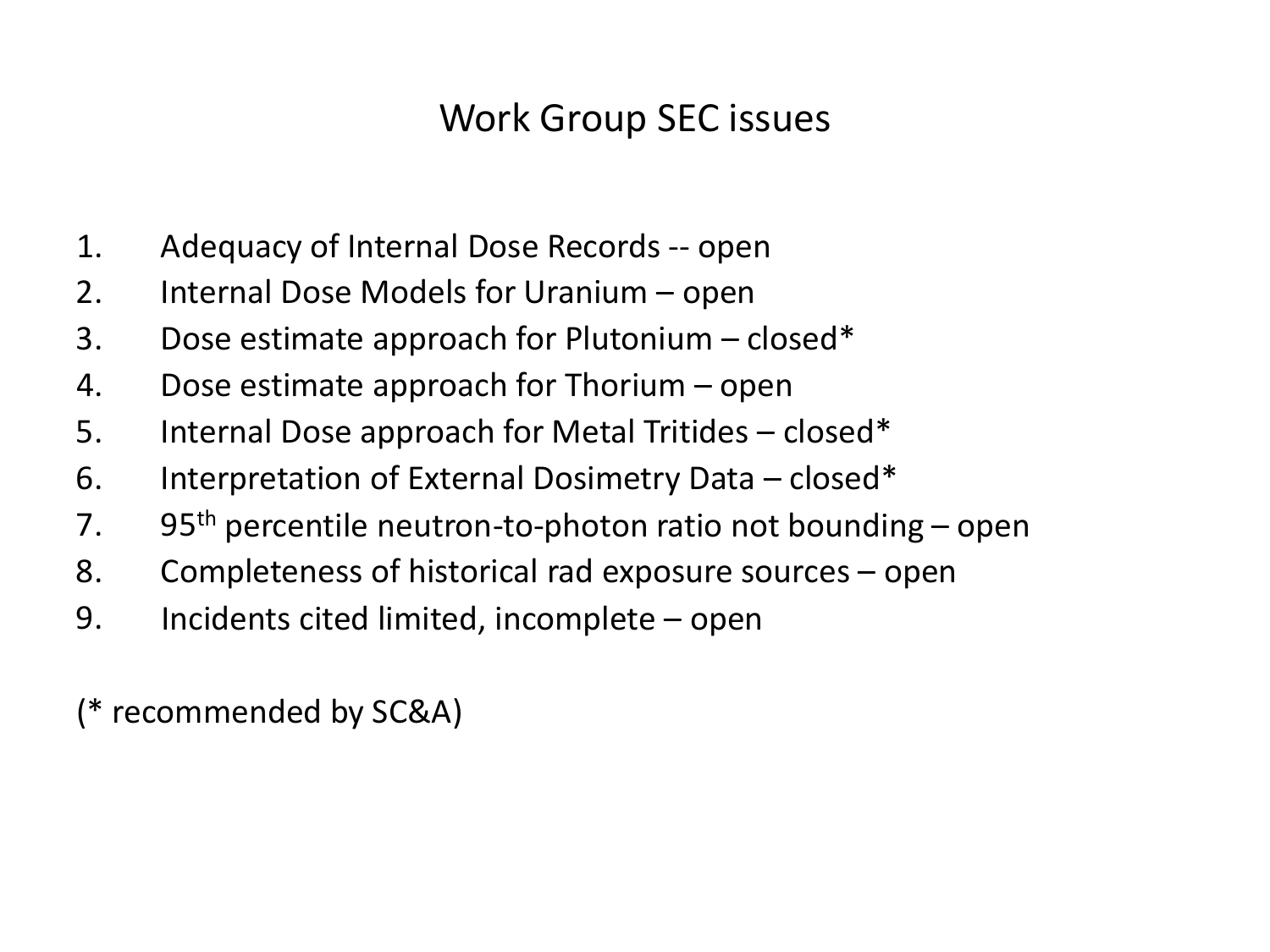### Work Group SEC issues

- 1. Adequacy of Internal Dose Records -- open
- 2. Internal Dose Models for Uranium open
- 3. Dose estimate approach for Plutonium closed\*
- 4. Dose estimate approach for Thorium open
- 5. Internal Dose approach for Metal Tritides closed\*
- 6. Interpretation of External Dosimetry Data closed\*
- 7. 95<sup>th</sup> percentile neutron-to-photon ratio not bounding open
- 8. Completeness of historical rad exposure sources open
- 9. Incidents cited limited, incomplete open

(\* recommended by SC&A)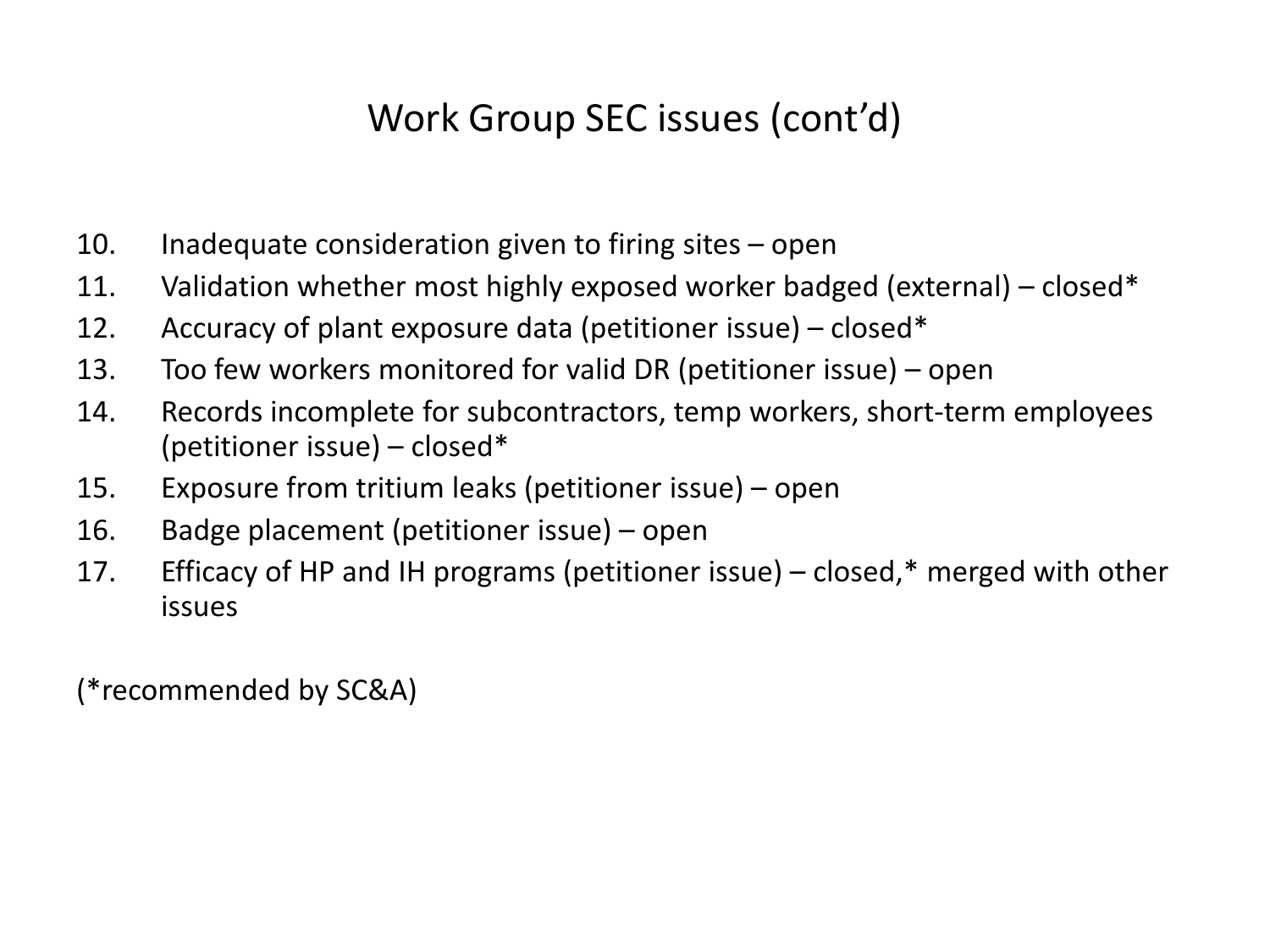### Work Group SEC issues (cont'd)

- 10. Inadequate consideration given to firing sites open
- 11. Validation whether most highly exposed worker badged (external) closed\*
- 12. Accuracy of plant exposure data (petitioner issue) closed\*
- 13. Too few workers monitored for valid DR (petitioner issue) open
- 14. Records incomplete for subcontractors, temp workers, short-term employees (petitioner issue) – closed\*
- 15. Exposure from tritium leaks (petitioner issue) open
- 16. Badge placement (petitioner issue) open
- 17. Efficacy of HP and IH programs (petitioner issue) closed,\* merged with other issues

(\*recommended by SC&A)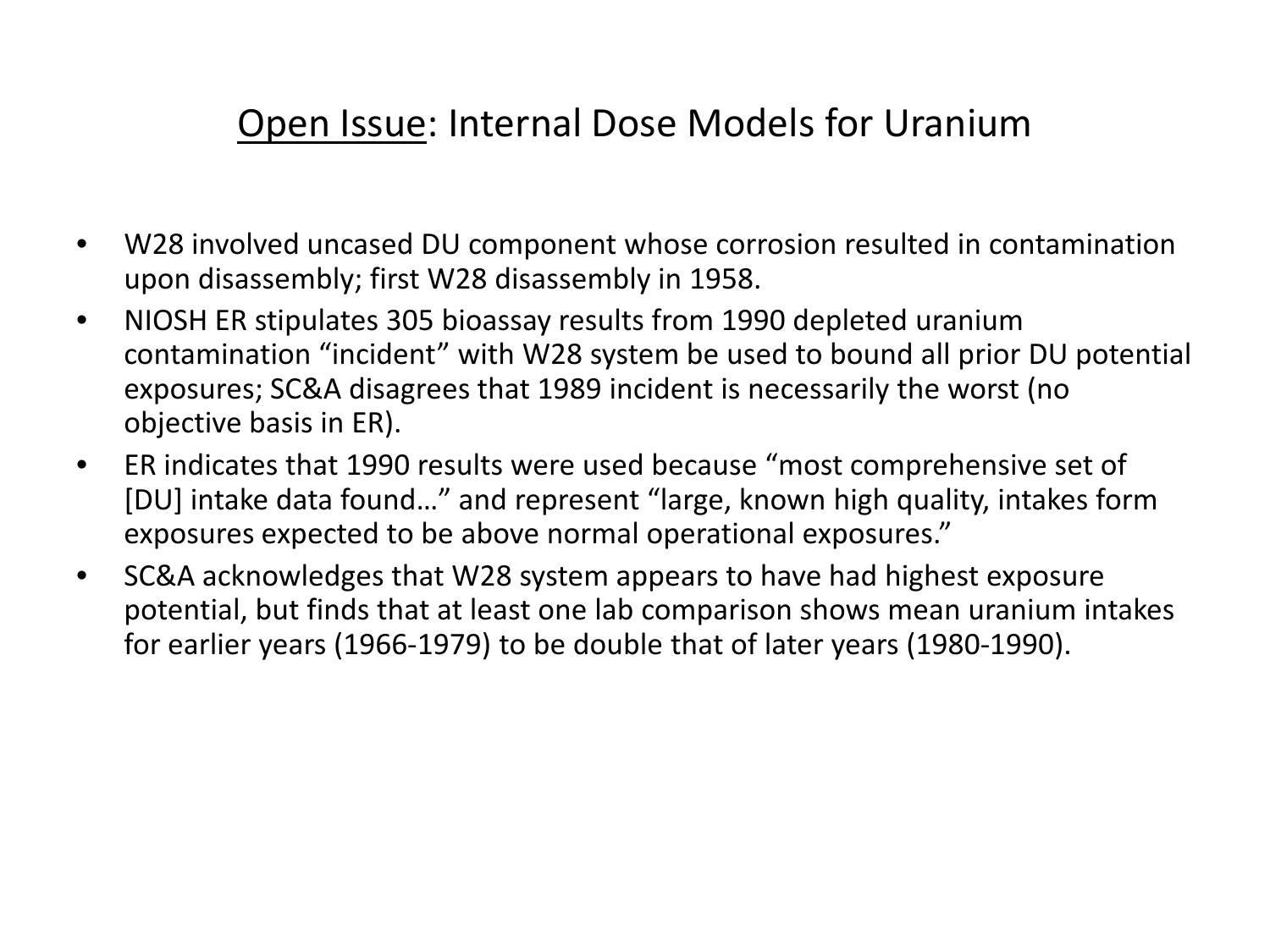#### Open Issue: Internal Dose Models for Uranium

- W28 involved uncased DU component whose corrosion resulted in contamination upon disassembly; first W28 disassembly in 1958.
- NIOSH ER stipulates 305 bioassay results from 1990 depleted uranium contamination "incident" with W28 system be used to bound all prior DU potential exposures; SC&A disagrees that 1989 incident is necessarily the worst (no objective basis in ER).
- ER indicates that 1990 results were used because "most comprehensive set of [DU] intake data found…" and represent "large, known high quality, intakes form exposures expected to be above normal operational exposures."
- SC&A acknowledges that W28 system appears to have had highest exposure potential, but finds that at least one lab comparison shows mean uranium intakes for earlier years (1966-1979) to be double that of later years (1980-1990).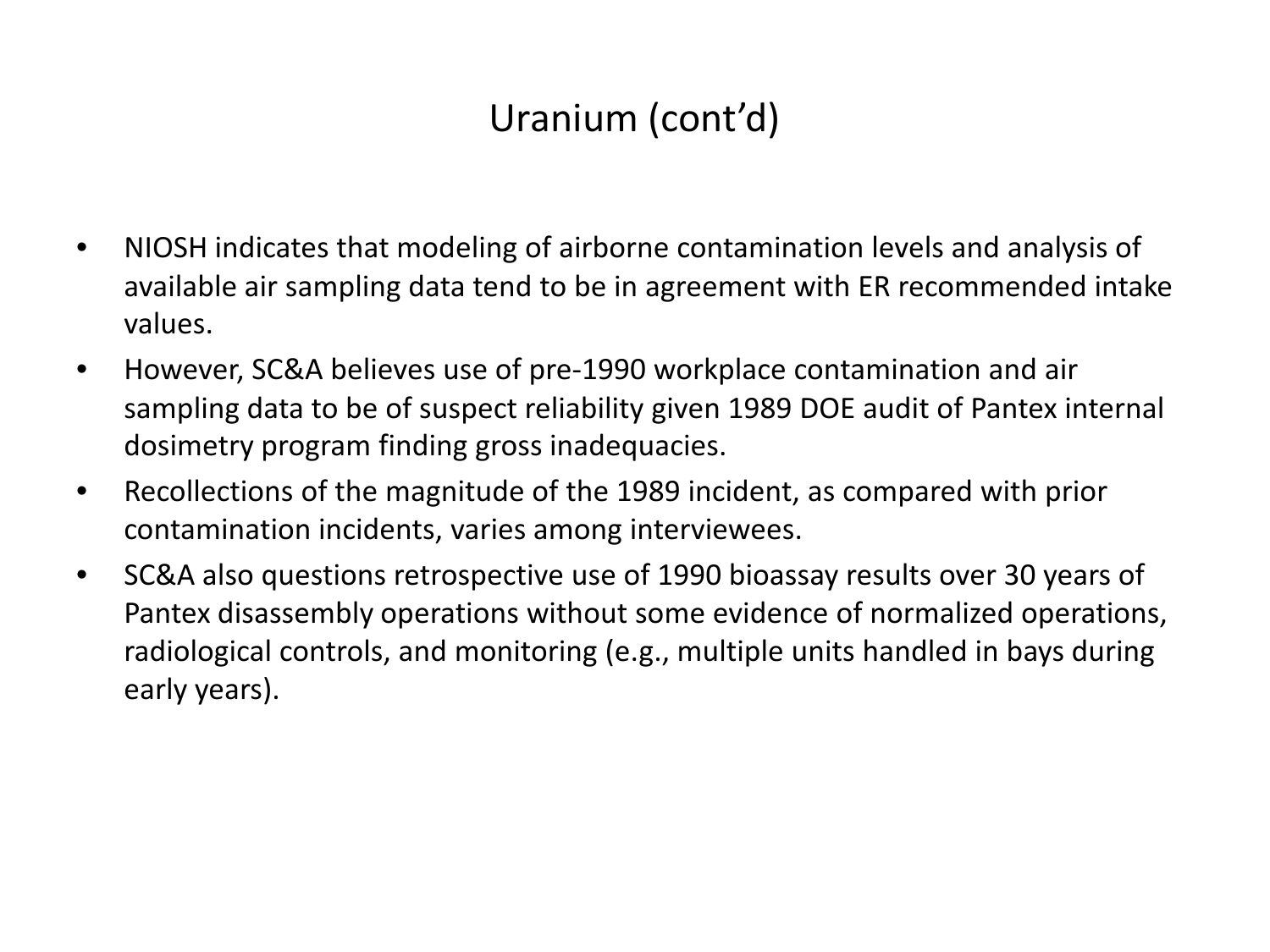## Uranium (cont'd)

- NIOSH indicates that modeling of airborne contamination levels and analysis of available air sampling data tend to be in agreement with ER recommended intake values.
- However, SC&A believes use of pre-1990 workplace contamination and air sampling data to be of suspect reliability given 1989 DOE audit of Pantex internal dosimetry program finding gross inadequacies.
- Recollections of the magnitude of the 1989 incident, as compared with prior contamination incidents, varies among interviewees.
- SC&A also questions retrospective use of 1990 bioassay results over 30 years of Pantex disassembly operations without some evidence of normalized operations, radiological controls, and monitoring (e.g., multiple units handled in bays during early years).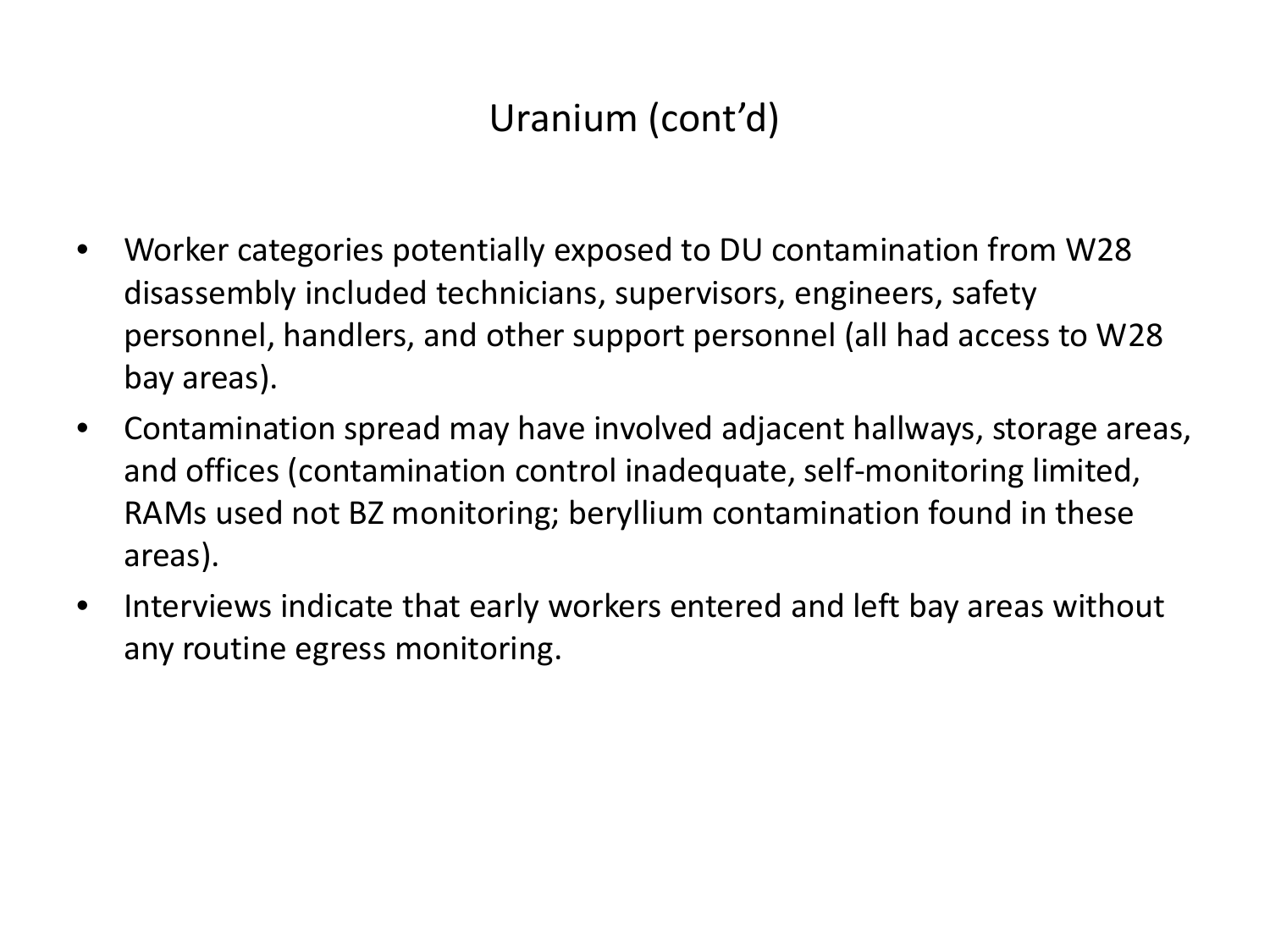## Uranium (cont'd)

- Worker categories potentially exposed to DU contamination from W28 disassembly included technicians, supervisors, engineers, safety personnel, handlers, and other support personnel (all had access to W28 bay areas).
- Contamination spread may have involved adjacent hallways, storage areas, and offices (contamination control inadequate, self-monitoring limited, RAMs used not BZ monitoring; beryllium contamination found in these areas).
- Interviews indicate that early workers entered and left bay areas without any routine egress monitoring.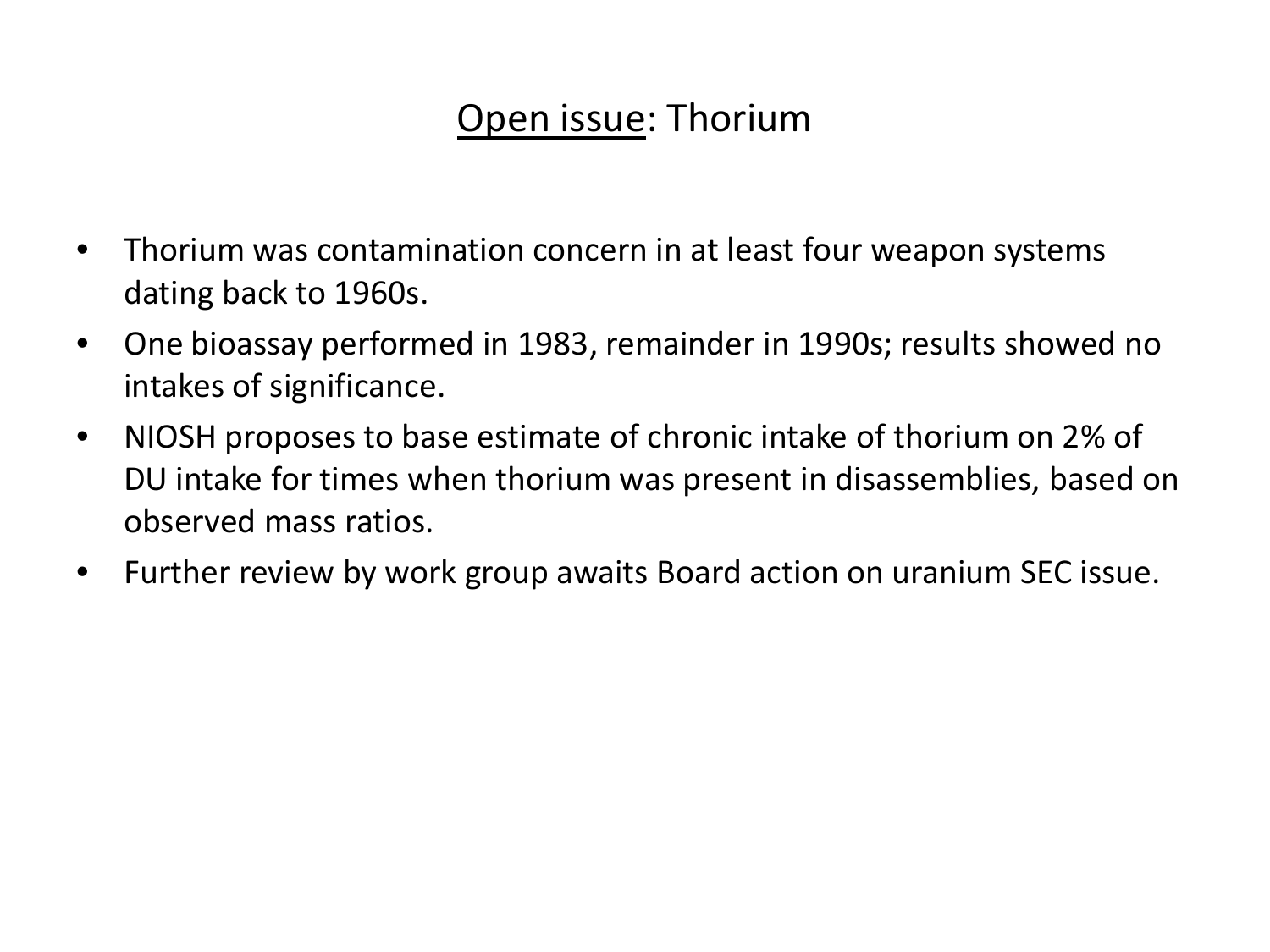### Open issue: Thorium

- Thorium was contamination concern in at least four weapon systems dating back to 1960s.
- One bioassay performed in 1983, remainder in 1990s; results showed no intakes of significance.
- NIOSH proposes to base estimate of chronic intake of thorium on 2% of DU intake for times when thorium was present in disassemblies, based on observed mass ratios.
- Further review by work group awaits Board action on uranium SEC issue.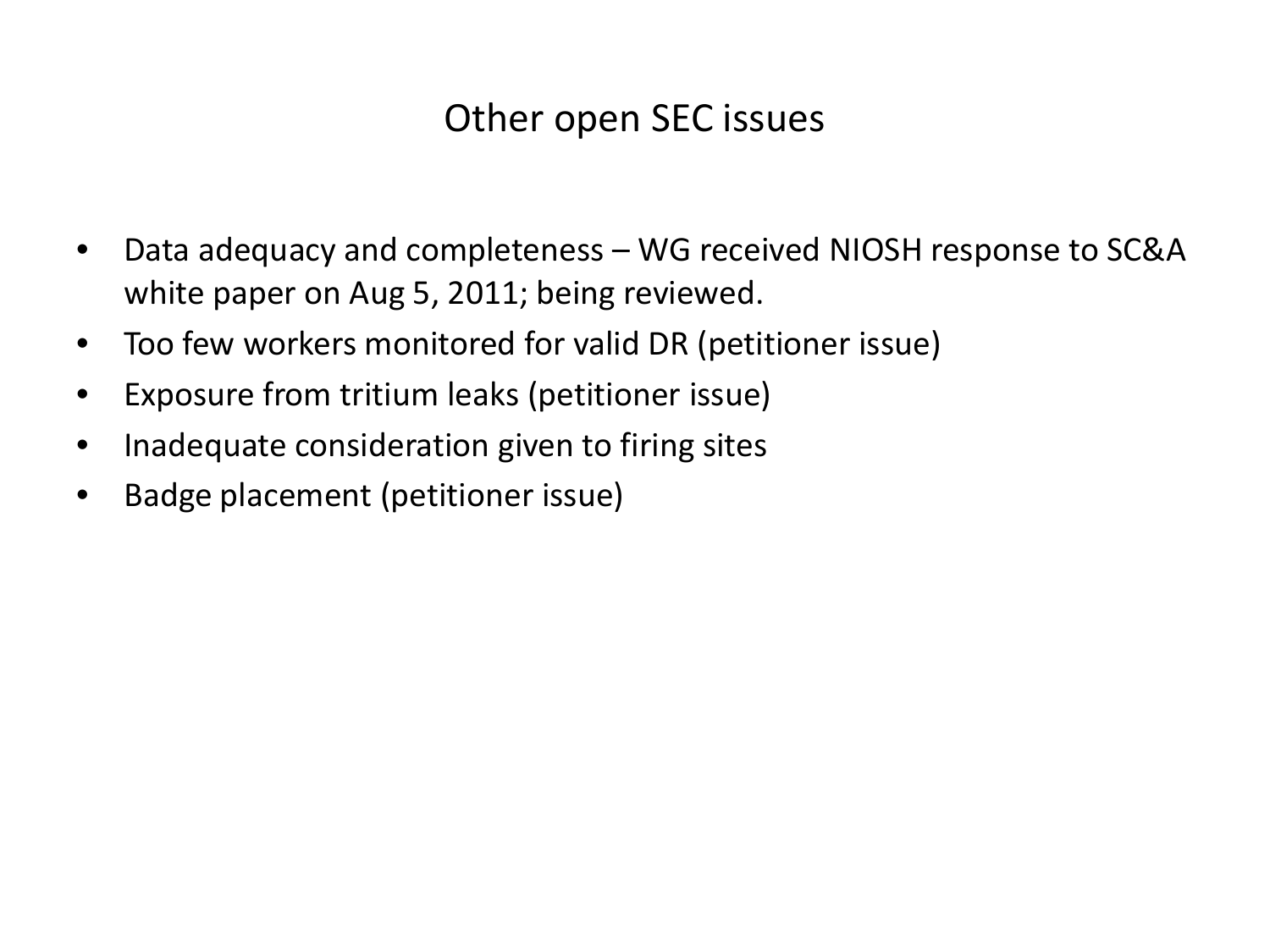### Other open SEC issues

- Data adequacy and completeness WG received NIOSH response to SC&A white paper on Aug 5, 2011; being reviewed.
- Too few workers monitored for valid DR (petitioner issue)
- Exposure from tritium leaks (petitioner issue)
- Inadequate consideration given to firing sites
- Badge placement (petitioner issue)